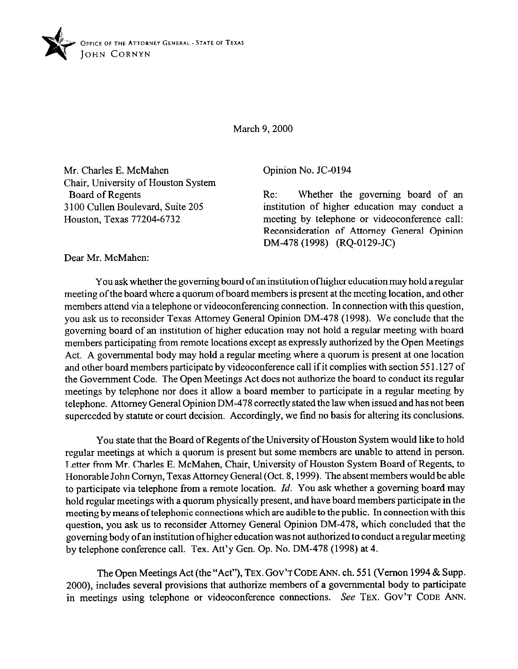

March 9, 2000

Mr. Charles E. McMahen Chair, University of Houston System Board of Regents 3 100 Cullen Boulevard, Suite 205 Houston, Texas 77204-6732

Opinion No. JC-0194

Re: Whether the governing board of an institution of higher education may conduct a meeting by telephone or videoconference call: Reconsideration of Attorney General Opinion DM-478 (1998) (RQ-0129-JC)

Dear Mr. McMahen:

You ask whether the governing board of an institution ofhigher education may hold a regular meeting of the board where a quorum of board members is present at the meeting location, and other members attend via a telephone or videoconferencing connection. In connection with this question, you ask us to reconsider Texas Attorney General Opinion DM-478 (1998). We conclude that the governing board of an institution of higher education may not hold a regular meeting with board members participating from remote locations except as expressly authorized by the Open Meetings Act. A governmental body may hold a regular meeting where a quorum is present at one location and other board members participate by videoconference call if it complies with section 55 1.127 of the Government Code. The Open Meetings Act does not authorize the board to conduct its regular meetings by telephone nor does it allow a board member to participate in a regular meeting by telephone. Attorney General Opinion DM-478 correctly stated the law when issued and has not been superceded by statute or court decision. Accordingly, we find no basis for altering its conclusions.

You state that the Board of Regents of the University of Houston System would like to hold regular meetings at which a quorum is present but some members are unable to attend in person. Letter from Mr. Charles E. McMahen, Chair, University of Houston System Board of Regents, to Honorable John Comyn, Texas Attorney General (Oct. 8,1999). The absent members would be able to participate via telephone from a remote location. *Id. You* ask whether a goveming board may hold regular meetings with a quorum physically present, and have board members participate in the meeting by means oftelephonic connections which are audible to the public. In connection with this question, you ask us to reconsider Attorney General Opinion DM-478, which concluded that the governing body of an institution ofhigher education was not authorized to conduct a regular meeting by telephone conference call. Tex. Att'y Gen. Op. No. DM-478 (1998) at 4.

The Open Meetings Act (the "Act"), **TEX. GOV'T CODE ANN.** ch. 55 1 (Vernon 1994 & Supp. 2000), includes several provisions that authorize members of a governmental body to participate in meetings using telephone or videoconference connections. See **TEX. GOV'T CODE** ANN.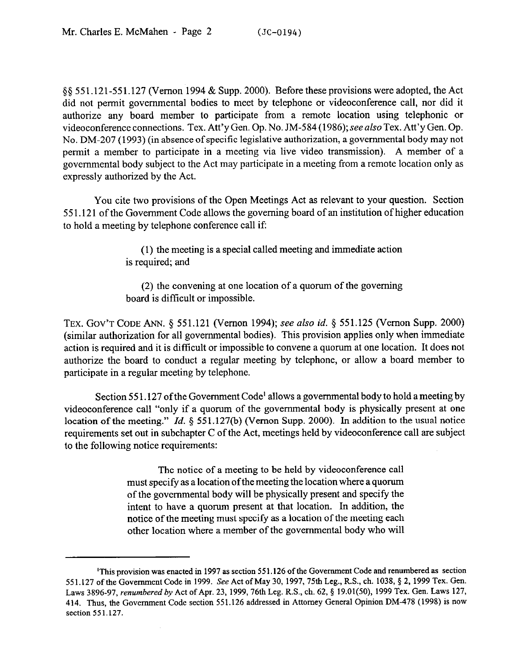\$8 551.121-551.127 (Vernon 1994 & Supp. 2000). Before these provisions were adopted, the Act did not permit governmental bodies to meet by telephone or videoconference call, nor did it authorize any board member to participate from a remote location using telephonic or videoconference connections. Tex. Att'y Gen. Op. No. JM-584 (1986); see also Tex. Att'y Gen. Op. No. DM-207 (1993) (in absence of specific legislative authorization, a governmental body may not permit a member to participate in a meeting via live video transmission). A member of a governmental body subject to the Act may participate in a meeting from a remote location only as expressly authorized by the Act.

You cite two provisions of the Open Meetings Act as relevant to your question. Section 55 1.121 of the Government Code allows the governing board of an institution of higher education to hold a meeting by telephone conference call if

> (1) the meeting is a special called meeting and immediate action is required, and

> (2) the convening at one location of a quorum of the governing board is difficult or impossible.

**TEX. GOV'T CODE** ANN. 3 551.121 (Vernon 1994); see also *id. 5* 551.125 (Vernon Supp. 2000) (similar authorization for all governmental bodies). This provision applies only when immediate action is required and it is difficult or impossible to convene a quorum at one location. It does not authorize the board to conduct a regular meeting by telephone, or allow a board member to participate in a regular meeting by telephone.

Section 551.127 of the Government Code<sup>1</sup> allows a governmental body to hold a meeting by videoconference call "only if a quorum of the governmental body is physically present at one location of the meeting." *Id.* § 551.127(b) (Vernon Supp. 2000). In addition to the usual notice requirements set out in subchapter C of the Act, meetings held by videoconference call are subject to the following notice requirements:

> The notice of a meeting to be held by videoconference call must specify as a location ofthe meeting the location where a quorum of the governmental body will be physically present and specify the intent to have a quorum present at that location. In addition, the notice of the meeting must specify as a location of the meeting each other location where a member of the governmental body who will

<sup>&#</sup>x27;This provision was **enacted in 1997 as section 55 1.126 of the Government Code and renumbered as section**  551.127 of the Government Code in 1999. See Act of May 30, 1997, 75th Leg., R.S., ch. 1038, § 2, 1999 Tex. Gen. Laws 3896-97, *renumbered by* Act of Apr. 23, 1999, 76th Leg. R.S., ch. 62, § 19.01(50), 1999 Tex. Gen. Laws 127, *414.* **Thus, the Government Code section 551.126 addressed in Attorney General opinion DM-478 (1998) is now section551.127.**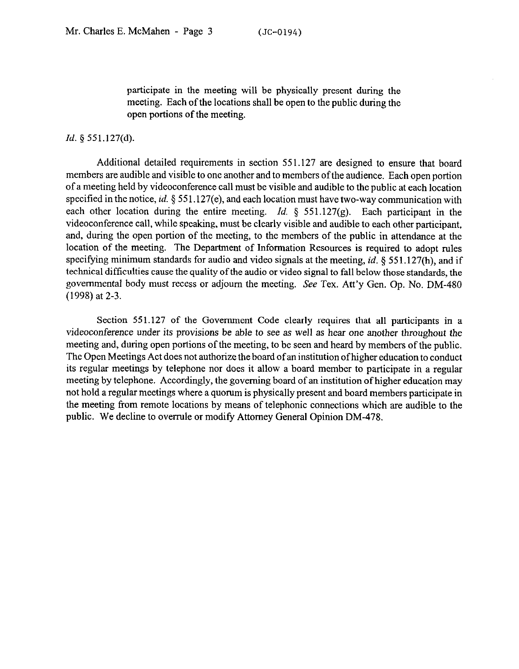participate in the meeting will be physically present during the meeting. Each of the locations shall be open to the public during the open portions of the meeting.

## *Id.* § 551.127(d).

Additional detailed requirements in section 551.127 are designed to ensure that board members are audible and visible to one another and to members of the audience. Each open portion of a meeting held by videoconference call must be visible and audible to the public at each location specified in the notice, *id.* § 551.127(e), and each location must have two-way communication with each other location during the entire meeting. *Id.* 5 551.127(g). Each participant in the videoconference call, while speaking, must be clearly visible and audible to each other participant, and, during the open portion of the meeting, to the members of the public in attendance at the location of the meeting. The Department of Information Resources is required to adopt rules specifying minimum standards for audio and video signals at the meeting, *id.* 9 55 1.127(h), and if technical difficulties cause the quality ofthe audio or video signal to fall below those standards, the governmental body must recess or adjourn the meeting. See Tex. Att'y Gen. Op. No. DM-480 (1998) at 2-3.

Section 551.127 of the Government Code clearly requires that all participants in a videoconference under its provisions be able to see as well as hear one another throughout the meeting and, during open portions of the meeting, to be seen and heard by members of the public. The Open Meetings Act does not authorize the board of an institution ofhigher education to conduct its regular meetings by telephone nor does it allow a board member to participate in a regular meeting by telephone. Accordingly, the governing board of an institution of higher education may not hold a regular meetings where a quorum is physically present and board members participate in the meeting from remote locations by means of telephonic connections which are audible to the public. We decline to overrule or modify Attorney General Opinion DM-478.